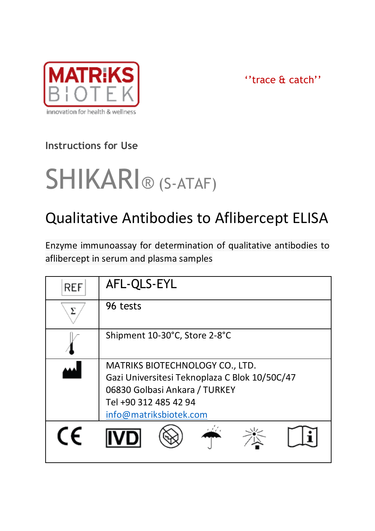

''trace & catch''

# **Instructions for Use**

# SHIKARI® (S-ATAF)

# Qualitative Antibodies to Aflibercept ELISA

Enzyme immunoassay for determination of qualitative antibodies to aflibercept in serum and plasma samples

| <b>REF</b> | AFL-QLS-EYL                                                                                                                                                          |  |  |
|------------|----------------------------------------------------------------------------------------------------------------------------------------------------------------------|--|--|
|            | 96 tests                                                                                                                                                             |  |  |
|            | Shipment 10-30°C, Store 2-8°C                                                                                                                                        |  |  |
|            | MATRIKS BIOTECHNOLOGY CO., LTD.<br>Gazi Universitesi Teknoplaza C Blok 10/50C/47<br>06830 Golbasi Ankara / TURKEY<br>Tel +90 312 485 42 94<br>info@matriksbiotek.com |  |  |
|            |                                                                                                                                                                      |  |  |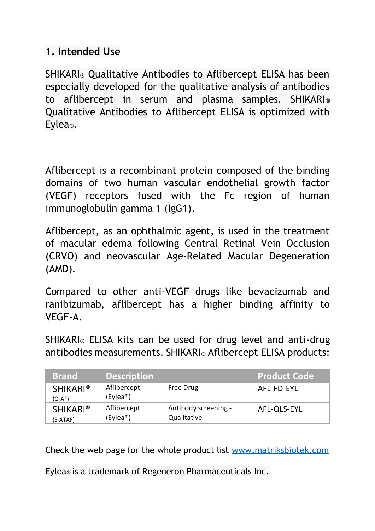#### **1. Intended Use**

SHIKARI® Qualitative Antibodies to Aflibercept ELISA has been especially developed for the qualitative analysis of antibodies to aflibercept in serum and plasma samples. SHIKARI® Qualitative Antibodies to Aflibercept ELISA is optimized with Eylea®.

Aflibercept is a recombinant protein composed of the binding domains of two human vascular endothelial growth factor (VEGF) receptors fused with the Fc region of human immunoglobulin gamma 1 (IgG1).

Aflibercept, as an ophthalmic agent, is used in the treatment of macular edema following Central Retinal Vein Occlusion (CRVO) and neovascular Age-Related Macular Degeneration (AMD).

Compared to other anti-VEGF drugs like bevacizumab and ranibizumab, aflibercept has a higher binding affinity to VEGF-A.

SHIKARI® ELISA kits can be used for drug level and anti-drug antibodies measurements. SHIKARI® Aflibercept ELISA products:

| <b>Brand</b>                | <b>Description</b>                   |                                     | <b>Product Code</b> |
|-----------------------------|--------------------------------------|-------------------------------------|---------------------|
| <b>SHIKARI®</b><br>$(O-AF)$ | Aflibercept<br>(Evlea <sup>®</sup> ) | Free Drug                           | AFL-FD-EYL          |
| <b>SHIKARI®</b><br>(S-ATAF) | Aflibercept<br>(Evlea <sup>®</sup> ) | Antibody screening -<br>Qualitative | AFL-OLS-EYL         |

Check the web page for the whole product list [www.matriksbiotek.com](file:///C:/Users/Matrix/Documents/www.matriksbiotek.com)

Eylea® is a trademark of Regeneron Pharmaceuticals Inc.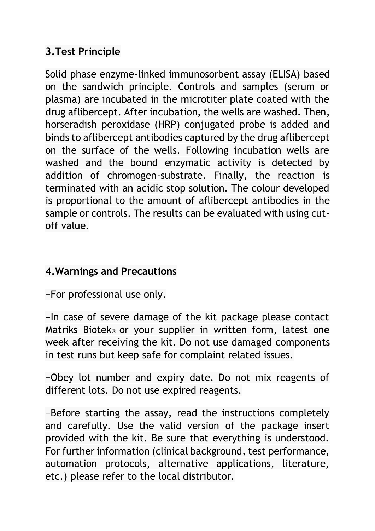## **3.Test Principle**

Solid phase enzyme-linked immunosorbent assay (ELISA) based on the sandwich principle. Controls and samples (serum or plasma) are incubated in the microtiter plate coated with the drug aflibercept. After incubation, the wells are washed. Then, horseradish peroxidase (HRP) conjugated probe is added and binds to aflibercept antibodies captured by the drug aflibercept on the surface of the wells. Following incubation wells are washed and the bound enzymatic activity is detected by addition of chromogen-substrate. Finally, the reaction is terminated with an acidic stop solution. The colour developed is proportional to the amount of aflibercept antibodies in the sample or controls. The results can be evaluated with using cutoff value.

## **4.Warnings and Precautions**

−For professional use only.

−In case of severe damage of the kit package please contact Matriks Biotek® or your supplier in written form, latest one week after receiving the kit. Do not use damaged components in test runs but keep safe for complaint related issues.

−Obey lot number and expiry date. Do not mix reagents of different lots. Do not use expired reagents.

−Before starting the assay, read the instructions completely and carefully. Use the valid version of the package insert provided with the kit. Be sure that everything is understood. For further information (clinical background, test performance, automation protocols, alternative applications, literature, etc.) please refer to the local distributor.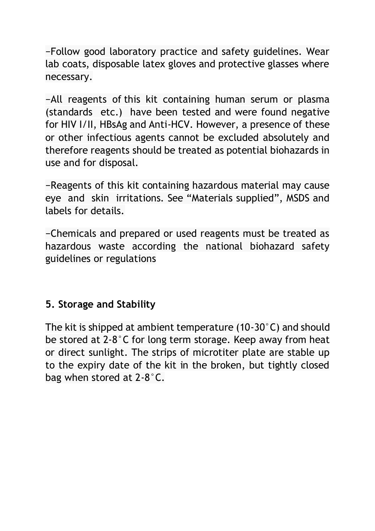−Follow good laboratory practice and safety guidelines. Wear lab coats, disposable latex gloves and protective glasses where necessary.

−All reagents of this kit containing human serum or plasma (standards etc.) have been tested and were found negative for HIV I/II, HBsAg and Anti-HCV. However, a presence of these or other infectious agents cannot be excluded absolutely and therefore reagents should be treated as potential biohazards in use and for disposal.

−Reagents of this kit containing hazardous material may cause eye and skin irritations. See "Materials supplied", MSDS and labels for details.

−Chemicals and prepared or used reagents must be treated as hazardous waste according the national biohazard safety guidelines or regulations

#### **5. Storage and Stability**

The kit is shipped at ambient temperature (10-30°C) and should be stored at 2-8°C for long term storage. Keep away from heat or direct sunlight. The strips of microtiter plate are stable up to the expiry date of the kit in the broken, but tightly closed bag when stored at 2-8°C.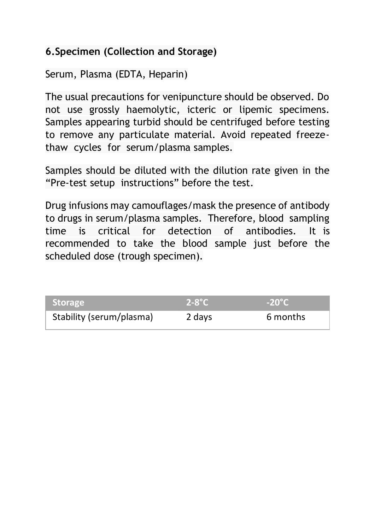#### **6.Specimen (Collection and Storage)**

Serum, Plasma (EDTA, Heparin)

The usual precautions for venipuncture should be observed. Do not use grossly haemolytic, icteric or lipemic specimens. Samples appearing turbid should be centrifuged before testing to remove any particulate material. Avoid repeated freezethaw cycles for serum/plasma samples.

Samples should be diluted with the dilution rate given in the "Pre-test setup instructions" before the test.

Drug infusions may camouflages/mask the presence of antibody to drugs in serum/plasma samples. Therefore, blood sampling time is critical for detection of antibodies. It is recommended to take the blood sample just before the scheduled dose (trough specimen).

| <b>Storage</b>           | $2-8$ °C | $-20^{\circ}$ C |
|--------------------------|----------|-----------------|
| Stability (serum/plasma) | 2 days   | 6 months        |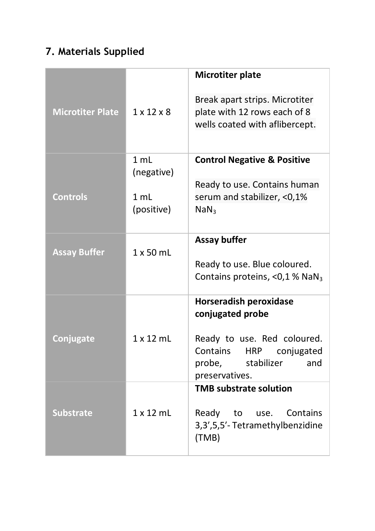# **7. Materials Supplied**

|                         |                                                               | Microtiter plate                                                                                                                                                   |
|-------------------------|---------------------------------------------------------------|--------------------------------------------------------------------------------------------------------------------------------------------------------------------|
| <b>Microtiter Plate</b> | $1 \times 12 \times 8$                                        | Break apart strips. Microtiter<br>plate with 12 rows each of 8<br>wells coated with aflibercept.                                                                   |
| <b>Controls</b>         | $1 \text{ ml}$<br>(negative)<br>1 <sub>m1</sub><br>(positive) | <b>Control Negative &amp; Positive</b><br>Ready to use. Contains human<br>serum and stabilizer, <0,1%<br>NaN <sub>3</sub>                                          |
| <b>Assay Buffer</b>     | 1 x 50 mL                                                     | Assay buffer<br>Ready to use. Blue coloured.<br>Contains proteins, <0,1 % NaN <sub>3</sub>                                                                         |
| Conjugate               | $1 \times 12$ ml                                              | Horseradish peroxidase<br>conjugated probe<br>Ready to use. Red coloured.<br>Contains<br><b>HRP</b><br>coniugated<br>stabilizer<br>probe,<br>and<br>preservatives. |
| <b>Substrate</b>        | 1 x 12 mL                                                     | <b>TMB substrate solution</b><br>Ready to use. Contains<br>3,3',5,5'-Tetramethylbenzidine<br>(TMB)                                                                 |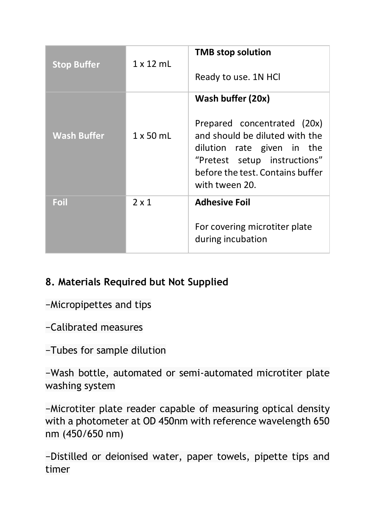| <b>Stop Buffer</b> | $1 \times 12$ mL | <b>TMB</b> stop solution<br>Ready to use. 1N HCI                                                                                                                                                       |
|--------------------|------------------|--------------------------------------------------------------------------------------------------------------------------------------------------------------------------------------------------------|
| <b>Wash Buffer</b> | $1 \times 50$ mL | Wash buffer (20x)<br>Prepared concentrated (20x)<br>and should be diluted with the<br>dilution rate given in the<br>"Pretest setup instructions"<br>before the test. Contains buffer<br>with tween 20. |
| Foil               | 2x1              | <b>Adhesive Foil</b><br>For covering microtiter plate<br>during incubation                                                                                                                             |

## **8. Materials Required but Not Supplied**

−Micropipettes and tips

−Calibrated measures

−Tubes for sample dilution

−Wash bottle, automated or semi-automated microtiter plate washing system

−Microtiter plate reader capable of measuring optical density with a photometer at OD 450nm with reference wavelength 650 nm (450/650 nm)

−Distilled or deionised water, paper towels, pipette tips and timer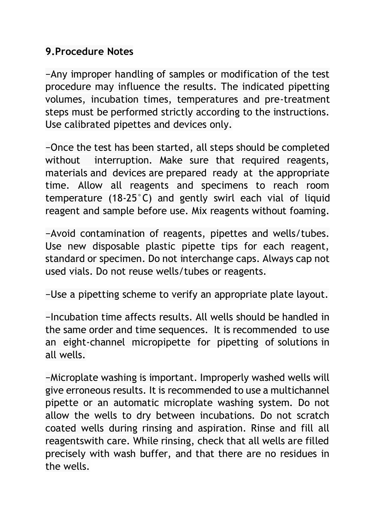#### **9.Procedure Notes**

−Any improper handling of samples or modification of the test procedure may influence the results. The indicated pipetting volumes, incubation times, temperatures and pre-treatment steps must be performed strictly according to the instructions. Use calibrated pipettes and devices only.

−Once the test has been started, all steps should be completed without interruption. Make sure that required reagents, materials and devices are prepared ready at the appropriate time. Allow all reagents and specimens to reach room temperature (18-25°C) and gently swirl each vial of liquid reagent and sample before use. Mix reagents without foaming.

−Avoid contamination of reagents, pipettes and wells/tubes. Use new disposable plastic pipette tips for each reagent, standard or specimen. Do not interchange caps. Always cap not used vials. Do not reuse wells/tubes or reagents.

−Use a pipetting scheme to verify an appropriate plate layout.

−Incubation time affects results. All wells should be handled in the same order and time sequences. It is recommended to use an eight-channel micropipette for pipetting of solutions in all wells.

−Microplate washing is important. Improperly washed wells will give erroneous results. It is recommended to use a multichannel pipette or an automatic microplate washing system. Do not allow the wells to dry between incubations. Do not scratch coated wells during rinsing and aspiration. Rinse and fill all reagentswith care. While rinsing, check that all wells are filled precisely with wash buffer, and that there are no residues in the wells.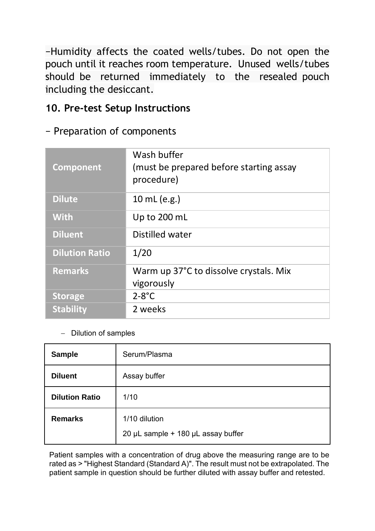−Humidity affects the coated wells/tubes. Do not open the pouch until it reaches room temperature. Unused wells/tubes should be returned immediately to the resealed pouch including the desiccant.

#### **10. Pre-test Setup Instructions**

#### − Preparation of components

| Component             | Wash buffer<br>(must be prepared before starting assay<br>procedure) |
|-----------------------|----------------------------------------------------------------------|
| <b>Dilute</b>         | 10 mL (e.g.)                                                         |
| <b>With</b>           | Up to 200 mL                                                         |
| <b>Diluent</b>        | Distilled water                                                      |
| <b>Dilution Ratio</b> | 1/20                                                                 |
| <b>Remarks</b>        | Warm up 37°C to dissolve crystals. Mix<br>vigorously                 |
| <b>Storage</b>        | $2-8$ °C                                                             |
| <b>Stability</b>      | 2 weeks                                                              |

− Dilution of samples

| Sample                | Serum/Plasma                                        |
|-----------------------|-----------------------------------------------------|
| <b>Diluent</b>        | Assay buffer                                        |
| <b>Dilution Ratio</b> | 1/10                                                |
| Remarks               | 1/10 dilution<br>20 µL sample + 180 µL assay buffer |

Patient samples with a concentration of drug above the measuring range are to be rated as > "Highest Standard (Standard A)". The result must not be extrapolated. The patient sample in question should be further diluted with assay buffer and retested.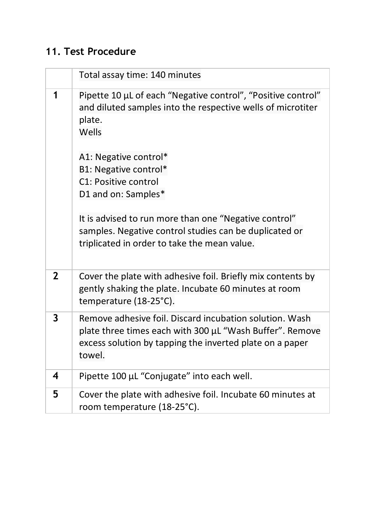# **11. Test Procedure**

|              | Total assay time: 140 minutes                                                                                                                                                             |
|--------------|-------------------------------------------------------------------------------------------------------------------------------------------------------------------------------------------|
| 1            | Pipette 10 µL of each "Negative control", "Positive control"<br>and diluted samples into the respective wells of microtiter<br>plate.<br>Wells                                            |
|              | A1: Negative control*<br>B1: Negative control*<br>C1: Positive control<br>D1 and on: Samples*                                                                                             |
|              | It is advised to run more than one "Negative control"<br>samples. Negative control studies can be duplicated or<br>triplicated in order to take the mean value.                           |
| $\mathbf{2}$ | Cover the plate with adhesive foil. Briefly mix contents by<br>gently shaking the plate. Incubate 60 minutes at room<br>temperature (18-25°C).                                            |
| 3            | Remove adhesive foil. Discard incubation solution. Wash<br>plate three times each with 300 µL "Wash Buffer". Remove<br>excess solution by tapping the inverted plate on a paper<br>towel. |
| 4            | Pipette 100 µL "Conjugate" into each well.                                                                                                                                                |
| 5            | Cover the plate with adhesive foil. Incubate 60 minutes at<br>room temperature (18-25°C).                                                                                                 |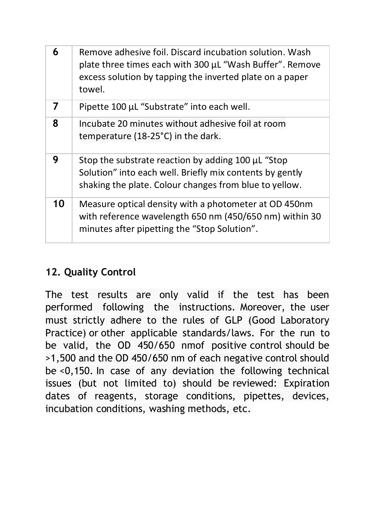| 6  | Remove adhesive foil. Discard incubation solution. Wash<br>plate three times each with 300 µL "Wash Buffer". Remove<br>excess solution by tapping the inverted plate on a paper<br>towel. |
|----|-------------------------------------------------------------------------------------------------------------------------------------------------------------------------------------------|
| 7  | Pipette 100 µL "Substrate" into each well.                                                                                                                                                |
| 8  | Incubate 20 minutes without adhesive foil at room<br>temperature (18-25°C) in the dark.                                                                                                   |
| 9  | Stop the substrate reaction by adding 100 µL "Stop<br>Solution" into each well. Briefly mix contents by gently<br>shaking the plate. Colour changes from blue to yellow.                  |
| 10 | Measure optical density with a photometer at OD 450nm<br>with reference wavelength 650 nm (450/650 nm) within 30<br>minutes after pipetting the "Stop Solution".                          |

#### **12. Quality Control**

The test results are only valid if the test has been performed following the instructions. Moreover, the user must strictly adhere to the rules of GLP (Good Laboratory Practice) or other applicable standards/laws. For the run to be valid, the OD 450/650 nmof positive control should be >1,500 and the OD 450/650 nm of each negative control should be <0,150. In case of any deviation the following technical issues (but not limited to) should be reviewed: Expiration dates of reagents, storage conditions, pipettes, devices, incubation conditions, washing methods, etc.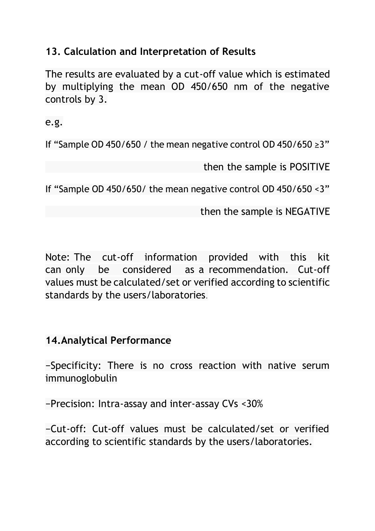#### **13. Calculation and Interpretation of Results**

The results are evaluated by a cut-off value which is estimated by multiplying the mean OD 450/650 nm of the negative controls by 3.

e.g.

If "Sample OD 450/650 / the mean negative control OD 450/650 ≥3"

then the sample is POSITIVE

If "Sample OD 450/650/ the mean negative control OD 450/650 <3"

then the sample is NEGATIVE

Note: The cut-off information provided with this kit can only be considered as a recommendation. Cut-off values must be calculated/set or verified according to scientific standards by the users/laboratories.

#### **14.Analytical Performance**

−Specificity: There is no cross reaction with native serum immunoglobulin

−Precision: Intra-assay and inter-assay CVs <30%

−Cut-off: Cut-off values must be calculated/set or verified according to scientific standards by the users/laboratories.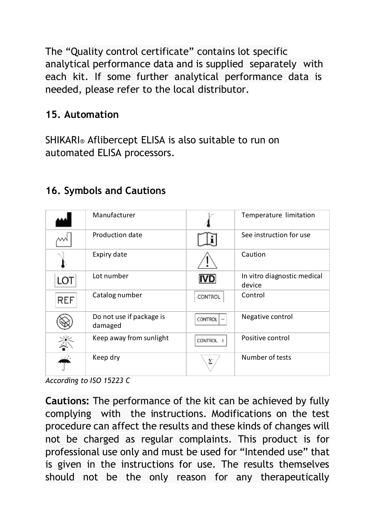The "Quality control certificate" contains lot specific analytical performance data and is supplied separately with each kit. If some further analytical performance data is needed, please refer to the local distributor.

#### **15. Automation**

SHIKARI® Aflibercept ELISA is also suitable to run on automated ELISA processors.

|            | Manufacturer                        |                | Temperature limitation                |
|------------|-------------------------------------|----------------|---------------------------------------|
|            | Production date                     |                | See instruction for use               |
|            | Expiry date                         |                | Caution                               |
| LOT        | Lot number                          |                | In vitro diagnostic medical<br>device |
| <b>REF</b> | Catalog number                      | CONTROL        | Control                               |
|            | Do not use if package is<br>damaged | <b>CONTROL</b> | Negative control                      |
|            | Keep away from sunlight             | <b>CONTROL</b> | Positive control                      |
|            | Keep dry                            | Σ              | Number of tests                       |

#### **16. Symbols and Cautions**

*According to ISO 15223 C*

**Cautions:** The performance of the kit can be achieved by fully complying with the instructions. Modifications on the test procedure can affect the results and these kinds of changes will not be charged as regular complaints. This product is for professional use only and must be used for "Intended use" that is given in the instructions for use. The results themselves should not be the only reason for any therapeutically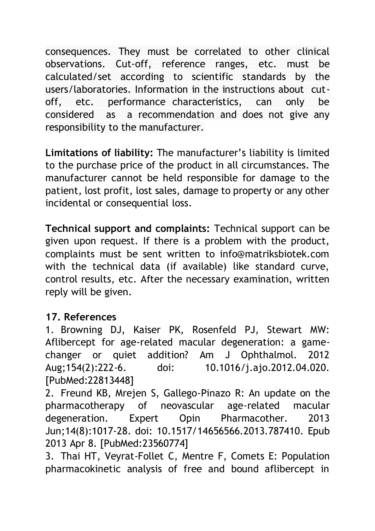consequences. They must be correlated to other clinical observations. Cut-off, reference ranges, etc. must be calculated/set according to scientific standards by the users/laboratories. Information in the instructions about cutoff, etc. performance characteristics, can only be considered as a recommendation and does not give any responsibility to the manufacturer.

**Limitations of liability:** The manufacturer's liability is limited to the purchase price of the product in all circumstances. The manufacturer cannot be held responsible for damage to the patient, lost profit, lost sales, damage to property or any other incidental or consequential loss.

**Technical support and complaints:** Technical support can be given upon request. If there is a problem with the product, complaints must be sent written to info@matriksbiotek.com with the technical data (if available) like standard curve, control results, etc. After the necessary examination, written reply will be given.

#### **17. References**

1. Browning DJ, Kaiser PK, Rosenfeld PJ, Stewart MW: Aflibercept for age-related macular degeneration: a gamechanger or quiet addition? Am J Ophthalmol. 2012 Aug;154(2):222-6. doi: 10.1016/j.ajo.2012.04.020. [PubMed:22813448]

2. Freund KB, Mrejen S, Gallego-Pinazo R: An update on the pharmacotherapy of neovascular age-related macular degeneration. Expert Opin Pharmacother. 2013 Jun;14(8):1017-28. doi: 10.1517/14656566.2013.787410. Epub 2013 Apr 8. [PubMed:23560774]

3. Thai HT, Veyrat-Follet C, Mentre F, Comets E: Population pharmacokinetic analysis of free and bound aflibercept in